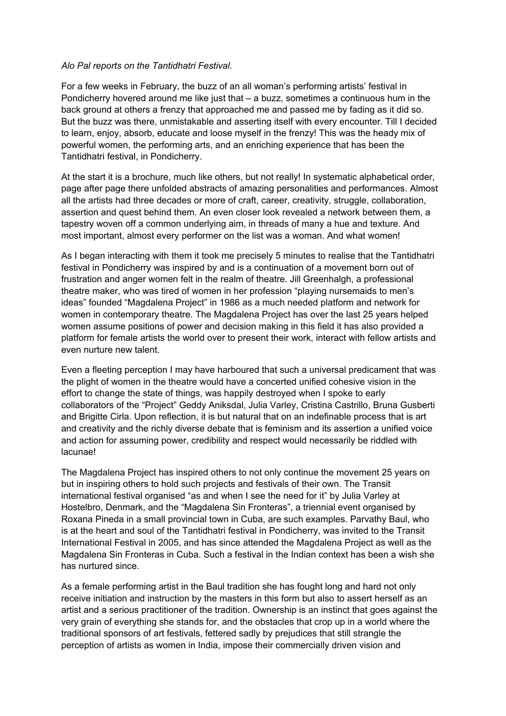## *Alo Pal reports on the Tantidhatri Festival.*

For a few weeks in February, the buzz of an all woman's performing artists' festival in Pondicherry hovered around me like just that – a buzz, sometimes a continuous hum in the back ground at others a frenzy that approached me and passed me by fading as it did so. But the buzz was there, unmistakable and asserting itself with every encounter. Till I decided to learn, enjoy, absorb, educate and loose myself in the frenzy! This was the heady mix of powerful women, the performing arts, and an enriching experience that has been the Tantidhatri festival, in Pondicherry.

At the start it is a brochure, much like others, but not really! In systematic alphabetical order, page after page there unfolded abstracts of amazing personalities and performances. Almost all the artists had three decades or more of craft, career, creativity, struggle, collaboration, assertion and quest behind them. An even closer look revealed a network between them, a tapestry woven off a common underlying aim, in threads of many a hue and texture. And most important, almost every performer on the list was a woman. And what women!

As I began interacting with them it took me precisely 5 minutes to realise that the Tantidhatri festival in Pondicherry was inspired by and is a continuation of a movement born out of frustration and anger women felt in the realm of theatre. Jill Greenhalgh, a professional theatre maker, who was tired of women in her profession "playing nursemaids to men's ideas" founded "Magdalena Project" in 1986 as a much needed platform and network for women in contemporary theatre. The Magdalena Project has over the last 25 years helped women assume positions of power and decision making in this field it has also provided a platform for female artists the world over to present their work, interact with fellow artists and even nurture new talent.

Even a fleeting perception I may have harboured that such a universal predicament that was the plight of women in the theatre would have a concerted unified cohesive vision in the effort to change the state of things, was happily destroyed when I spoke to early collaborators of the "Project" Geddy Aniksdal, Julia Varley, Cristina Castrillo, Bruna Gusberti and Brigitte Cirla. Upon reflection, it is but natural that on an indefinable process that is art and creativity and the richly diverse debate that is feminism and its assertion a unified voice and action for assuming power, credibility and respect would necessarily be riddled with lacunae!

The Magdalena Project has inspired others to not only continue the movement 25 years on but in inspiring others to hold such projects and festivals of their own. The Transit international festival organised "as and when I see the need for it" by Julia Varley at Hostelbro, Denmark, and the "Magdalena Sin Fronteras", a triennial event organised by Roxana Pineda in a small provincial town in Cuba, are such examples. Parvathy Baul, who is at the heart and soul of the Tantidhatri festival in Pondicherry, was invited to the Transit International Festival in 2005, and has since attended the Magdalena Project as well as the Magdalena Sin Fronteras in Cuba. Such a festival in the Indian context has been a wish she has nurtured since.

As a female performing artist in the Baul tradition she has fought long and hard not only receive initiation and instruction by the masters in this form but also to assert herself as an artist and a serious practitioner of the tradition. Ownership is an instinct that goes against the very grain of everything she stands for, and the obstacles that crop up in a world where the traditional sponsors of art festivals, fettered sadly by prejudices that still strangle the perception of artists as women in India, impose their commercially driven vision and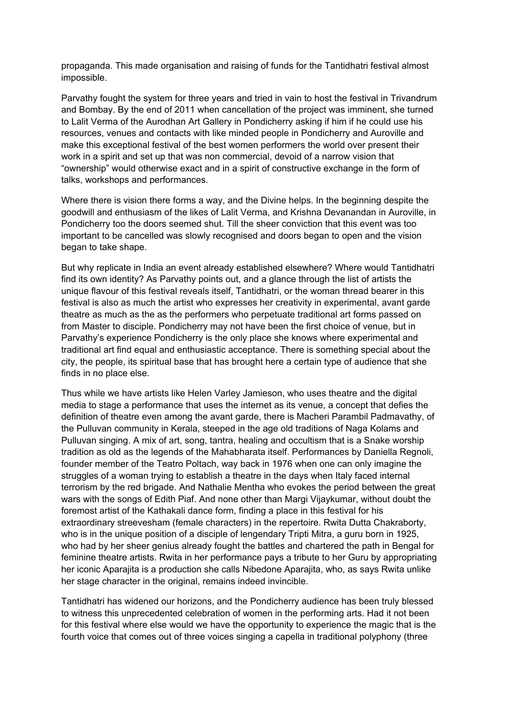propaganda. This made organisation and raising of funds for the Tantidhatri festival almost impossible.

Parvathy fought the system for three years and tried in vain to host the festival in Trivandrum and Bombay. By the end of 2011 when cancellation of the project was imminent, she turned to Lalit Verma of the Aurodhan Art Gallery in Pondicherry asking if him if he could use his resources, venues and contacts with like minded people in Pondicherry and Auroville and make this exceptional festival of the best women performers the world over present their work in a spirit and set up that was non commercial, devoid of a narrow vision that "ownership" would otherwise exact and in a spirit of constructive exchange in the form of talks, workshops and performances.

Where there is vision there forms a way, and the Divine helps. In the beginning despite the goodwill and enthusiasm of the likes of Lalit Verma, and Krishna Devanandan in Auroville, in Pondicherry too the doors seemed shut. Till the sheer conviction that this event was too important to be cancelled was slowly recognised and doors began to open and the vision began to take shape.

But why replicate in India an event already established elsewhere? Where would Tantidhatri find its own identity? As Parvathy points out, and a glance through the list of artists the unique flavour of this festival reveals itself, Tantidhatri, or the woman thread bearer in this festival is also as much the artist who expresses her creativity in experimental, avant garde theatre as much as the as the performers who perpetuate traditional art forms passed on from Master to disciple. Pondicherry may not have been the first choice of venue, but in Parvathy's experience Pondicherry is the only place she knows where experimental and traditional art find equal and enthusiastic acceptance. There is something special about the city, the people, its spiritual base that has brought here a certain type of audience that she finds in no place else.

Thus while we have artists like Helen Varley Jamieson, who uses theatre and the digital media to stage a performance that uses the internet as its venue, a concept that defies the definition of theatre even among the avant garde, there is Macheri Parambil Padmavathy, of the Pulluvan community in Kerala, steeped in the age old traditions of Naga Kolams and Pulluvan singing. A mix of art, song, tantra, healing and occultism that is a Snake worship tradition as old as the legends of the Mahabharata itself. Performances by Daniella Regnoli, founder member of the Teatro Poltach, way back in 1976 when one can only imagine the struggles of a woman trying to establish a theatre in the days when Italy faced internal terrorism by the red brigade. And Nathalie Mentha who evokes the period between the great wars with the songs of Edith Piaf. And none other than Margi Vijaykumar, without doubt the foremost artist of the Kathakali dance form, finding a place in this festival for his extraordinary streevesham (female characters) in the repertoire. Rwita Dutta Chakraborty, who is in the unique position of a disciple of lengendary Tripti Mitra, a guru born in 1925, who had by her sheer genius already fought the battles and chartered the path in Bengal for feminine theatre artists. Rwita in her performance pays a tribute to her Guru by appropriating her iconic Aparajita is a production she calls Nibedone Aparajita, who, as says Rwita unlike her stage character in the original, remains indeed invincible.

Tantidhatri has widened our horizons, and the Pondicherry audience has been truly blessed to witness this unprecedented celebration of women in the performing arts. Had it not been for this festival where else would we have the opportunity to experience the magic that is the fourth voice that comes out of three voices singing a capella in traditional polyphony (three